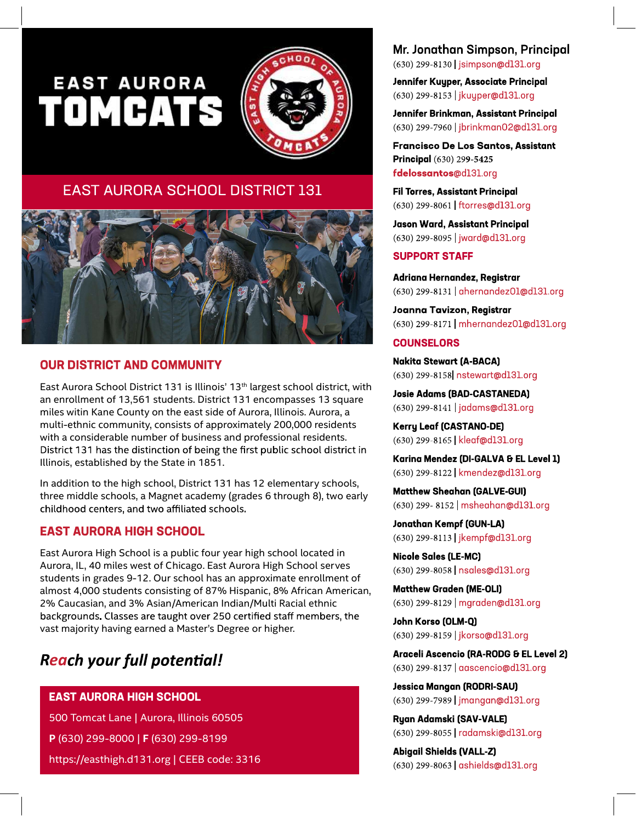# **EAST AURORA TOMCATS**



# EAST AURORA SCHOOL DISTRICT 131



#### **OUR DISTRICT AND COMMUNITY**

East Aurora School District 131 is Illinois' 13<sup>th</sup> largest school district, with an enrollment of 13,561 students. District 131 encompasses 13 square miles witin Kane County on the east side of Aurora, Illinois. Aurora, a multi-ethnic community, consists of approximately 200,000 residents with a considerable number of business and professional residents. District 131 has the distinction of being the first public school district in Illinois, established by the State in 1851.

In addition to the high school, District 131 has 12 elementary schools, three middle schools, a Magnet academy (grades 6 through 8), two early childhood centers, and two affiliated schools.

#### **EAST AURORA HIGH SCHOOL**

East Aurora High School is a public four year high school located in Aurora, IL, 40 miles west of Chicago. East Aurora High School serves students in grades 9-12. Our school has an approximate enrollment of almost 4,000 students consisting of 87% Hispanic, 8% African American, 2% Caucasian, and 3% Asian/American Indian/Multi Racial ethnic backgrounds. Classes are taught over 250 certified staff members, the vast majority having earned a Master's Degree or higher.

# **Reach your full potential!**

#### **EAST AURORA HIGH SCHOOL**

500 Tomcat Lane | Aurora, Illinois 60505 P (630) 299-8000 | F (630) 299-8199 https://easthigh.d131.org | CEEB code: 3316

# Mr. Jonathan Simpson, Principal

(630) 299-8130 | jsimpson@d131.org

Jennifer Kuyper, Associate Principal (630) 299-8153 | jkuyper@d131.org

Jennifer Brinkman, Assistant Principal (630) 299-7960 | jbrinkman02@d131.org

**Francisco De Los Santos, Assistant** Principal (630) 299-5425 fdelossantos@d131.org

**Fil Torres, Assistant Principal** (630) 299-8061 | ftorres@d131.org

**Jason Ward, Assistant Principal** (630) 299-8095 | jward@d131.org

#### **SUPPORT STAFF**

Adriana Hernandez, Registrar (630) 299-8131 | ahernandez01@d131.org

Joanna Tavizon, Registrar (630) 299-8171 | mhernandez01@d131.org

#### **COUNSELORS**

**Nakita Stewart (A-BACA)** (630) 299-8158 nstewart@d131.org

**Josie Adams (BAD-CASTANEDA)** (630) 299-8141 | jadams@d131.org

**Kerry Leaf (CASTANO-DE)** (630) 299-8165 | kleaf@d131.org

Karina Mendez (DI-GALVA & EL Level 1) (630) 299-8122 | kmendez@d131.org

**Matthew Sheahan (GALVE-GUI)** (630) 299-8152 | msheahan@dl31.org

**Jonathan Kempf (GUN-LA)** (630) 299-8113 | jkempf@d131.org

**Nicole Sales (LE-MC)** (630) 299-8058 | nsales@d131.org

**Matthew Graden (ME-OLI)** (630) 299-8129 | mgraden@d131.org

John Korso (OLM-Q) (630) 299-8159 | jkorso@d131.org

Araceli Ascencio (RA-RODG & EL Level 2) (630) 299-8137 | aascencio@d131.org

**Jessica Mangan (RODRI-SAU)** (630) 299-7989 | jmangan@d131.org

**Ryan Adamski (SAV-VALE)** (630) 299-8055 | radamski@d131.org

**Abigail Shields (VALL-Z)** (630) 299-8063 | ashields@d131.org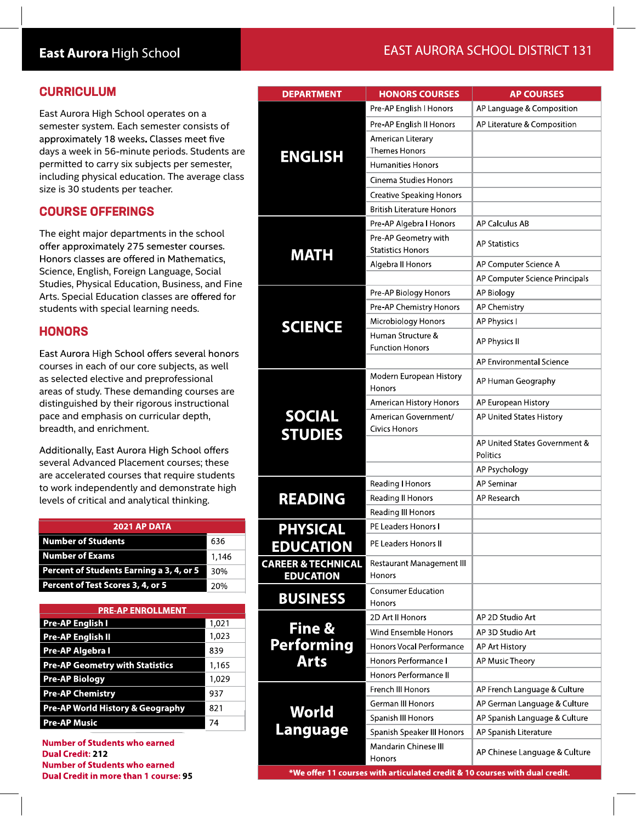## East Aurora High School

### **EAST AURORA SCHOOL DISTRICT 131**

| <b>CURRICULUM</b>                                                                                                                                                                                                                   |       | <b>DEPARTMENT</b>               | <b>HONORS COURSES</b>             | <b>AP COURSES</b>              |  |
|-------------------------------------------------------------------------------------------------------------------------------------------------------------------------------------------------------------------------------------|-------|---------------------------------|-----------------------------------|--------------------------------|--|
| East Aurora High School operates on a<br>semester system. Each semester consists of<br>approximately 18 weeks. Classes meet five<br>days a week in 56-minute periods. Students are<br>permitted to carry six subjects per semester, |       | <b>ENGLISH</b>                  | Pre-AP English I Honors           | AP Language & Composition      |  |
|                                                                                                                                                                                                                                     |       |                                 | Pre-AP English II Honors          | AP Literature & Composition    |  |
|                                                                                                                                                                                                                                     |       |                                 | American Literary                 |                                |  |
|                                                                                                                                                                                                                                     |       |                                 | <b>Themes Honors</b>              |                                |  |
|                                                                                                                                                                                                                                     |       |                                 | <b>Humanities Honors</b>          |                                |  |
| including physical education. The average class                                                                                                                                                                                     |       |                                 | Cinema Studies Honors             |                                |  |
| size is 30 students per teacher.                                                                                                                                                                                                    |       |                                 | <b>Creative Speaking Honors</b>   |                                |  |
| <b>COURSE OFFERINGS</b>                                                                                                                                                                                                             |       |                                 | <b>British Literature Honors</b>  |                                |  |
|                                                                                                                                                                                                                                     |       |                                 | Pre-AP Algebra I Honors           | AP Calculus AB                 |  |
| The eight major departments in the school                                                                                                                                                                                           |       |                                 | Pre-AP Geometry with              |                                |  |
| offer approximately 275 semester courses.                                                                                                                                                                                           |       | <b>MATH</b>                     | <b>Statistics Honors</b>          | <b>AP Statistics</b>           |  |
| Honors classes are offered in Mathematics,                                                                                                                                                                                          |       |                                 | Algebra II Honors                 | AP Computer Science A          |  |
| Science, English, Foreign Language, Social<br>Studies, Physical Education, Business, and Fine                                                                                                                                       |       |                                 |                                   | AP Computer Science Principals |  |
| Arts. Special Education classes are offered for                                                                                                                                                                                     |       |                                 | Pre-AP Biology Honors             | AP Biology                     |  |
| students with special learning needs.                                                                                                                                                                                               |       |                                 | Pre-AP Chemistry Honors           | <b>AP Chemistry</b>            |  |
|                                                                                                                                                                                                                                     |       | <b>SCIENCE</b>                  | Microbiology Honors               | AP Physics I                   |  |
| <b>HONORS</b>                                                                                                                                                                                                                       |       |                                 | Human Structure &                 | AP Physics II                  |  |
| East Aurora High School offers several honors                                                                                                                                                                                       |       |                                 | <b>Function Honors</b>            |                                |  |
| courses in each of our core subjects, as well                                                                                                                                                                                       |       |                                 |                                   | AP Environmental Science       |  |
| as selected elective and preprofessional<br>areas of study. These demanding courses are                                                                                                                                             |       |                                 | Modern European History<br>Honors | AP Human Geography             |  |
| distinguished by their rigorous instructional                                                                                                                                                                                       |       |                                 | American History Honors           | AP European History            |  |
| pace and emphasis on curricular depth,                                                                                                                                                                                              |       | <b>SOCIAL</b><br><b>STUDIES</b> | American Government/              | AP United States History       |  |
| breadth, and enrichment.                                                                                                                                                                                                            |       |                                 | <b>Civics Honors</b>              |                                |  |
| Additionally, East Aurora High School offers                                                                                                                                                                                        |       |                                 |                                   | AP United States Government &  |  |
| several Advanced Placement courses; these                                                                                                                                                                                           |       |                                 |                                   | Politics                       |  |
| are accelerated courses that require students<br>to work independently and demonstrate high                                                                                                                                         |       |                                 |                                   | AP Psychology                  |  |
|                                                                                                                                                                                                                                     |       |                                 | Reading   Honors                  | AP Seminar                     |  |
| levels of critical and analytical thinking.                                                                                                                                                                                         |       | <b>READING</b>                  | Reading II Honors                 | AP Research                    |  |
|                                                                                                                                                                                                                                     |       |                                 | Reading III Honors                |                                |  |
| 2021 AP DATA                                                                                                                                                                                                                        |       | <b>PHYSICAL</b>                 | PE Leaders Honors I               |                                |  |
| <b>Number of Students</b>                                                                                                                                                                                                           | 636   | <b>EDUCATION</b>                | PE Leaders Honors II              |                                |  |
| <b>Number of Exams</b>                                                                                                                                                                                                              | 1,146 | <b>CAREER &amp; TECHNICAL</b>   | Restaurant Management III         |                                |  |
| Percent of Students Earning a 3, 4, or 5                                                                                                                                                                                            | 30%   | <b>EDUCATION</b>                | Honors                            |                                |  |
| Percent of Test Scores 3, 4, or 5                                                                                                                                                                                                   | 20%   |                                 | <b>Consumer Education</b>         |                                |  |
| <b>PRE-AP ENROLLMENT</b>                                                                                                                                                                                                            |       | <b>BUSINESS</b>                 | Honors                            |                                |  |
| <b>Pre-AP English I</b>                                                                                                                                                                                                             | 1,021 |                                 | 2D Art II Honors                  | AP 2D Studio Art               |  |
| <b>Pre-AP English II</b>                                                                                                                                                                                                            | 1,023 | Fine &                          | Wind Ensemble Honors              | AP 3D Studio Art               |  |
| Pre-AP Algebra I                                                                                                                                                                                                                    | 839   | <b>Performing</b>               | Honors Vocal Performance          | AP Art History                 |  |
| <b>Pre-AP Geometry with Statistics</b>                                                                                                                                                                                              | 1,165 | <b>Arts</b>                     | Honors Performance I              | AP Music Theory                |  |
| <b>Pre-AP Biology</b>                                                                                                                                                                                                               | 1,029 |                                 | Honors Performance II             |                                |  |
| <b>Pre-AP Chemistry</b>                                                                                                                                                                                                             | 937   |                                 | French III Honors                 | AP French Language & Culture   |  |
| Pre-AP World History & Geography                                                                                                                                                                                                    | 821   |                                 | <b>German III Honors</b>          | AP German Language & Culture   |  |
| <b>Pre-AP Music</b>                                                                                                                                                                                                                 | 74    | <b>World</b>                    | Spanish III Honors                | AP Spanish Language & Culture  |  |
|                                                                                                                                                                                                                                     |       | <b>Language</b>                 | Spanish Speaker III Honors        | AP Spanish Literature          |  |
| <b>Number of Students who earned</b><br><b>Dual Credit: 212</b>                                                                                                                                                                     |       |                                 | Mandarin Chinese III              | AP Chinese Language & Culture  |  |
|                                                                                                                                                                                                                                     |       |                                 | <b>Honors</b>                     |                                |  |

**Dual Credit: 212 Number of Students who earned** Dual Credit in more than 1 course: 95

\*We offer 11 courses with articulated credit & 10 courses with dual credit.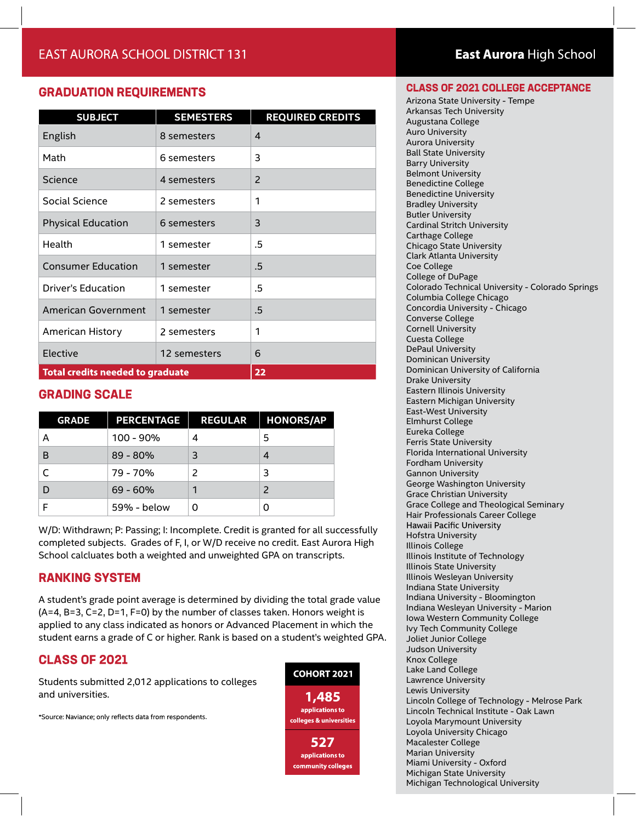#### **GRADUATION REQUIREMENTS**

| <b>SUBJECT</b>                          | <b>SEMESTERS</b> | <b>REQUIRED CREDITS</b> |
|-----------------------------------------|------------------|-------------------------|
| English                                 | 8 semesters      | 4                       |
| Math                                    | 6 semesters      | 3                       |
| Science                                 | 4 semesters      | 2                       |
| Social Science                          | 2 semesters      | 1                       |
| <b>Physical Education</b>               | 6 semesters      | 3                       |
| Health                                  | 1 semester       | .5                      |
| <b>Consumer Education</b>               | 1 semester       | .5                      |
| Driver's Education                      | 1 semester       | .5                      |
| <b>American Government</b>              | 1 semester       | .5                      |
| American History                        | 2 semesters      | 1                       |
| Elective                                | 12 semesters     | 6                       |
| <b>Total credits needed to graduate</b> | 22               |                         |

#### **GRADING SCALE**

| <b>GRADE</b> | <b>PERCENTAGE</b> | <b>REGULAR</b> | <b>HONORS/AP</b> |
|--------------|-------------------|----------------|------------------|
| А            | 100 - 90%         | 4              | 5                |
| B            | $89 - 80%$        | 3              | 4                |
|              | 79 - 70%          |                | 3                |
| D            | $69 - 60%$        |                | $\mathcal{P}$    |
|              | 59% - below       |                |                  |

W/D: Withdrawn; P: Passing; I: Incomplete. Credit is granted for all successfully completed subjects. Grades of F, I, or W/D receive no credit. East Aurora High School calcluates both a weighted and unweighted GPA on transcripts.

#### **RANKING SYSTEM**

A student's grade point average is determined by dividing the total grade value (A=4, B=3, C=2, D=1, F=0) by the number of classes taken. Honors weight is applied to any class indicated as honors or Advanced Placement in which the student earns a grade of C or higher. Rank is based on a student's weighted GPA.

#### **CLASS OF 2021**

Students submitted 2,012 applications to colleges and universities.

\*Source: Naviance; only reflects data from respondents.



## East Aurora High School

#### **CLASS OF 2021 COLLEGE ACCEPTANCE**

Arizona State University - Tempe Arkansas Tech University Augustana College Auro University Aurora University Ball State University Barry University Belmont University Benedictine College Benedictine University Bradley University Butler University Cardinal Stritch University Carthage College Chicago State University Clark Atlanta University Coe College College of DuPage Colorado Technical University - Colorado Springs Columbia College Chicago Concordia University - Chicago Converse College Cornell University Cuesta College DePaul University Dominican University Dominican University of California Drake University Eastern Illinois University Eastern Michigan University East-West University Elmhurst College Eureka College Ferris State University Florida International University Fordham University Gannon University George Washington University Grace Christian University Grace College and Theological Seminary Hair Professionals Career College Hawaii Pacific University Hofstra University Illinois College Illinois Institute of Technology Illinois State University Illinois Wesleyan University Indiana State University Indiana University - Bloomington Indiana Wesleyan University - Marion Iowa Western Community College Ivy Tech Community College Joliet Junior College Judson University Knox College Lake Land College Lawrence University Lewis University Lincoln College of Technology - Melrose Park Lincoln Technical Institute - Oak Lawn Loyola Marymount University Loyola University Chicago Macalester College Marian University Miami University - Oxford Michigan State University Michigan Technological University